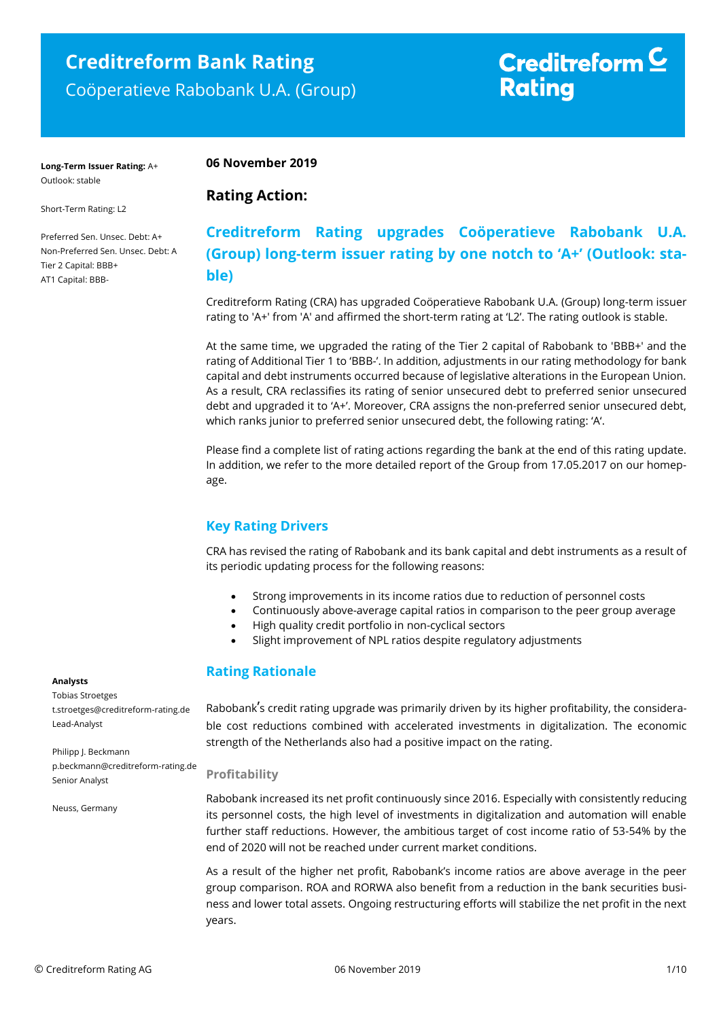## **Creditreform Bank Rating** Coöperatieve Rabobank U.A. (Group)

# Creditreform  $\subseteq$ **Rating**

**Long-Term Issuer Rating:** A+ Outlook: stable

### **06 November 2019**

**Rating Action:** 

### Short-Term Rating: L2

Preferred Sen. Unsec. Debt: A+ Non-Preferred Sen. Unsec. Debt: A Tier 2 Capital: BBB+ AT1 Capital: BBB-

## **Creditreform Rating upgrades Coöperatieve Rabobank U.A. (Group) long-term issuer rating by one notch to 'A+' (Outlook: stable)**

Creditreform Rating (CRA) has upgraded Coöperatieve Rabobank U.A. (Group) long-term issuer rating to 'A+' from 'A' and affirmed the short-term rating at 'L2'. The rating outlook is stable.

At the same time, we upgraded the rating of the Tier 2 capital of Rabobank to 'BBB+' and the rating of Additional Tier 1 to 'BBB-'. In addition, adjustments in our rating methodology for bank capital and debt instruments occurred because of legislative alterations in the European Union. As a result, CRA reclassifies its rating of senior unsecured debt to preferred senior unsecured debt and upgraded it to 'A+'. Moreover, CRA assigns the non-preferred senior unsecured debt, which ranks junior to preferred senior unsecured debt, the following rating: 'A'.

Please find a complete list of rating actions regarding the bank at the end of this rating update. In addition, we refer to the more detailed report of the Group from 17.05.2017 on our homepage.

## **Key Rating Drivers**

CRA has revised the rating of Rabobank and its bank capital and debt instruments as a result of its periodic updating process for the following reasons:

- Strong improvements in its income ratios due to reduction of personnel costs
- Continuously above-average capital ratios in comparison to the peer group average
- High quality credit portfolio in non-cyclical sectors
- Slight improvement of NPL ratios despite regulatory adjustments

### **Rating Rationale**

Rabobank's credit rating upgrade was primarily driven by its higher profitability, the considerable cost reductions combined with accelerated investments in digitalization. The economic strength of the Netherlands also had a positive impact on the rating.

### **Profitability**

Rabobank increased its net profit continuously since 2016. Especially with consistently reducing its personnel costs, the high level of investments in digitalization and automation will enable further staff reductions. However, the ambitious target of cost income ratio of 53-54% by the end of 2020 will not be reached under current market conditions.

As a result of the higher net profit, Rabobank's income ratios are above average in the peer group comparison. ROA and RORWA also benefit from a reduction in the bank securities business and lower total assets. Ongoing restructuring efforts will stabilize the net profit in the next years.

### **Analysts**

Tobias Stroetges t.stroetges@creditreform-rating.de Lead-Analyst

Philipp J. Beckmann p.beckmann@creditreform-rating.de Senior Analyst

Neuss, Germany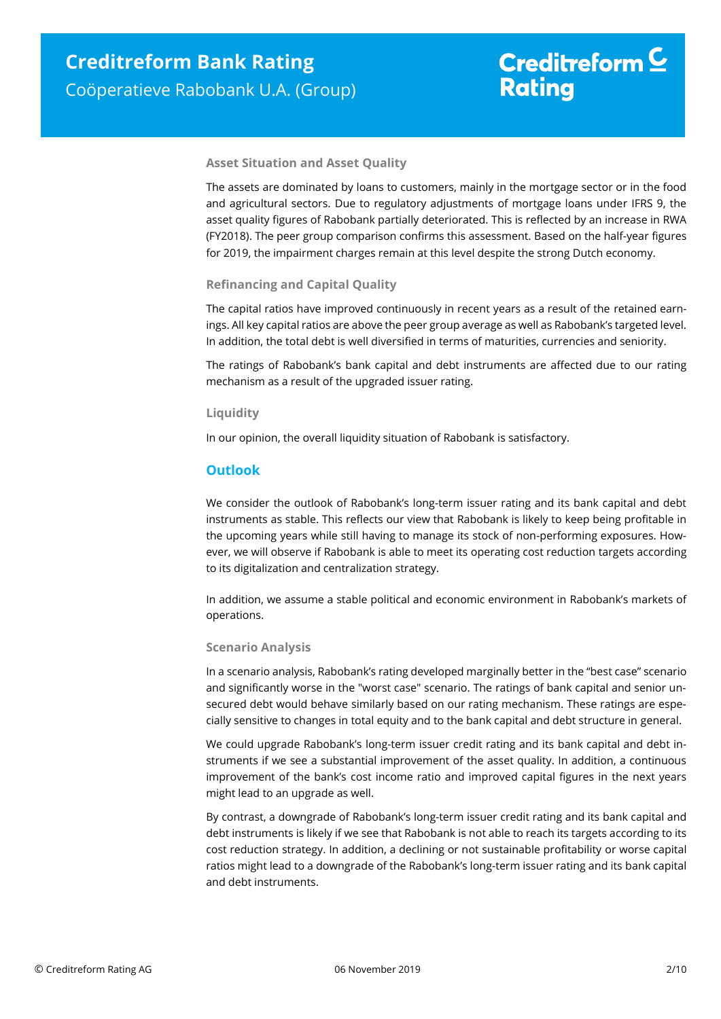# Creditreform  $\mathsf{\underline{\mathsf{C}}}$ **Rating**

### **Asset Situation and Asset Quality**

The assets are dominated by loans to customers, mainly in the mortgage sector or in the food and agricultural sectors. Due to regulatory adjustments of mortgage loans under IFRS 9, the asset quality figures of Rabobank partially deteriorated. This is reflected by an increase in RWA (FY2018). The peer group comparison confirms this assessment. Based on the half-year figures for 2019, the impairment charges remain at this level despite the strong Dutch economy.

### **Refinancing and Capital Quality**

The capital ratios have improved continuously in recent years as a result of the retained earnings. All key capital ratios are above the peer group average as well as Rabobank's targeted level. In addition, the total debt is well diversified in terms of maturities, currencies and seniority.

The ratings of Rabobank's bank capital and debt instruments are affected due to our rating mechanism as a result of the upgraded issuer rating.

### **Liquidity**

In our opinion, the overall liquidity situation of Rabobank is satisfactory.

### **Outlook**

We consider the outlook of Rabobank's long-term issuer rating and its bank capital and debt instruments as stable. This reflects our view that Rabobank is likely to keep being profitable in the upcoming years while still having to manage its stock of non-performing exposures. However, we will observe if Rabobank is able to meet its operating cost reduction targets according to its digitalization and centralization strategy.

In addition, we assume a stable political and economic environment in Rabobank's markets of operations.

### **Scenario Analysis**

In a scenario analysis, Rabobank's rating developed marginally better in the "best case" scenario and significantly worse in the "worst case" scenario. The ratings of bank capital and senior unsecured debt would behave similarly based on our rating mechanism. These ratings are especially sensitive to changes in total equity and to the bank capital and debt structure in general.

We could upgrade Rabobank's long-term issuer credit rating and its bank capital and debt instruments if we see a substantial improvement of the asset quality. In addition, a continuous improvement of the bank's cost income ratio and improved capital figures in the next years might lead to an upgrade as well.

By contrast, a downgrade of Rabobank's long-term issuer credit rating and its bank capital and debt instruments is likely if we see that Rabobank is not able to reach its targets according to its cost reduction strategy. In addition, a declining or not sustainable profitability or worse capital ratios might lead to a downgrade of the Rabobank's long-term issuer rating and its bank capital and debt instruments.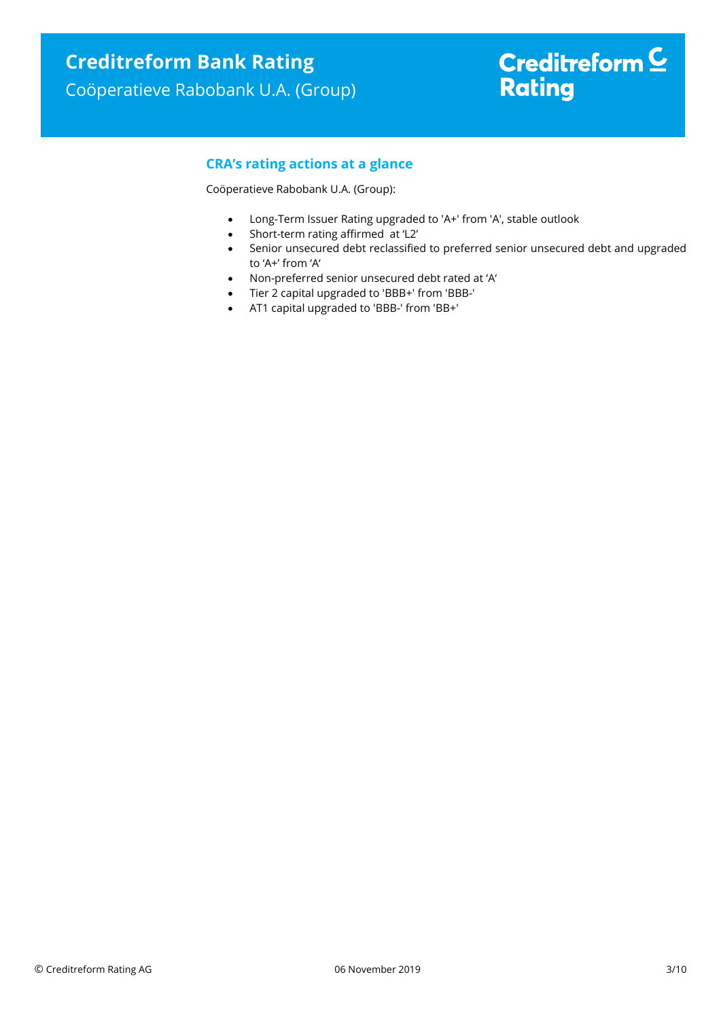# Creditreform  $\underline{\mathsf{C}}$ **Rating**

## **CRA's rating actions at a glance**

Coöperatieve Rabobank U.A. (Group):

- Long-Term Issuer Rating upgraded to 'A+' from 'A', stable outlook
- Short-term rating affirmed at 'L2'
- Senior unsecured debt reclassified to preferred senior unsecured debt and upgraded to 'A+' from 'A'
- Non-preferred senior unsecured debt rated at 'A'
- Tier 2 capital upgraded to 'BBB+' from 'BBB-'
- AT1 capital upgraded to 'BBB-' from 'BB+'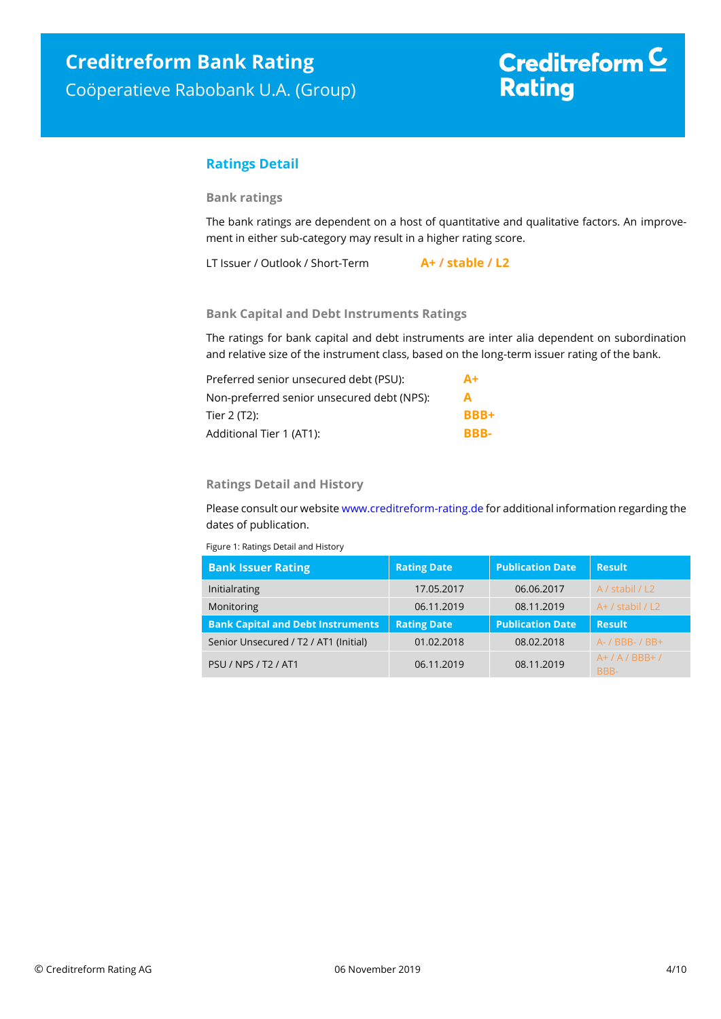# Creditreform  $\underline{\mathsf{C}}$ **Rating**

### **Ratings Detail**

### **Bank ratings**

The bank ratings are dependent on a host of quantitative and qualitative factors. An improvement in either sub-category may result in a higher rating score.

LT Issuer / Outlook / Short-Term **A+ / stable / L2**

### **Bank Capital and Debt Instruments Ratings**

The ratings for bank capital and debt instruments are inter alia dependent on subordination and relative size of the instrument class, based on the long-term issuer rating of the bank.

| Preferred senior unsecured debt (PSU):     | $A+$        |
|--------------------------------------------|-------------|
| Non-preferred senior unsecured debt (NPS): | A           |
| Tier 2 (T2):                               | <b>BBB+</b> |
| Additional Tier 1 (AT1):                   | BBB-        |

### **Ratings Detail and History**

Please consult our websit[e www.creditreform-rating.de](http://www.creditreform-rating.de/) for additional information regarding the dates of publication.

Figure 1: Ratings Detail and History

| <b>Bank Issuer Rating</b>                | <b>Rating Date</b> | <b>Publication Date</b> | <b>Result</b>        |
|------------------------------------------|--------------------|-------------------------|----------------------|
| Initialrating                            | 17.05.2017         | 06.06.2017              | A / stabil / L2      |
| Monitoring                               | 06.11.2019         | 08.11.2019              | $A+$ / stabil / L2   |
|                                          |                    |                         |                      |
| <b>Bank Capital and Debt Instruments</b> | <b>Rating Date</b> | <b>Publication Date</b> | <b>Result</b>        |
| Senior Unsecured / T2 / AT1 (Initial)    | 01.02.2018         | 08.02.2018              | $A - / BBB - / BB +$ |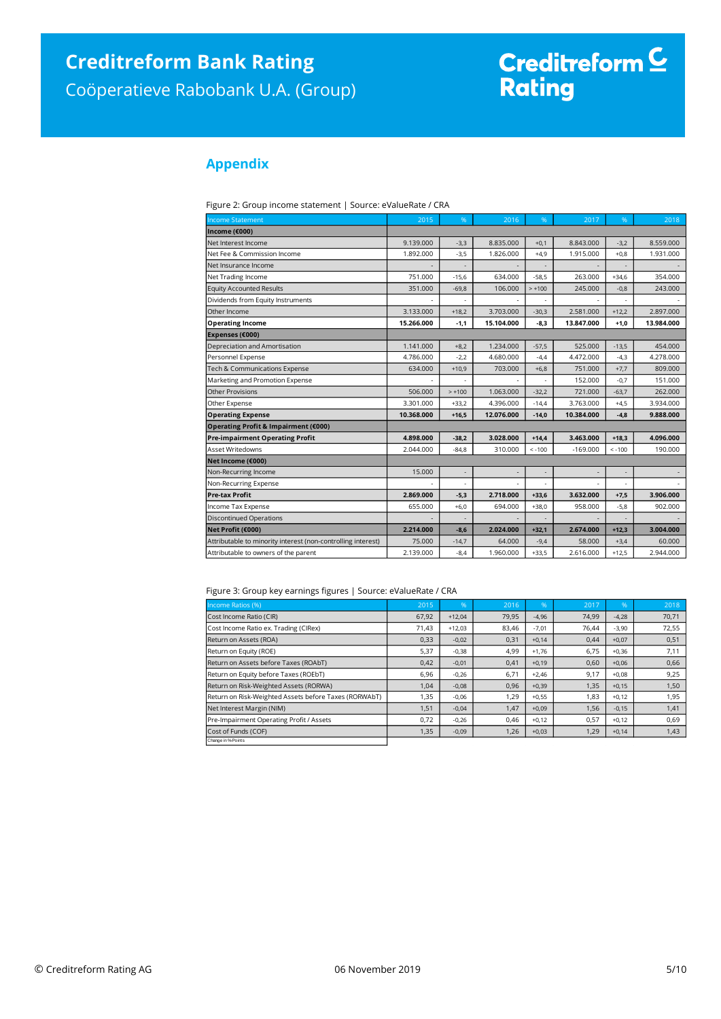# Creditreform <sup>C</sup><br>Rating

## **Appendix**

| Figure 2: Group income statement   Source: eValueRate / CRA |  |  |
|-------------------------------------------------------------|--|--|
|-------------------------------------------------------------|--|--|

| <b>Income Statement</b>                                      | 2015       | %        | 2016       | %        | 2017       | %        | 2018       |
|--------------------------------------------------------------|------------|----------|------------|----------|------------|----------|------------|
| Income (€000)                                                |            |          |            |          |            |          |            |
| Net Interest Income                                          | 9.139.000  | $-3,3$   | 8.835.000  | $+0,1$   | 8.843.000  | $-3,2$   | 8.559.000  |
| Net Fee & Commission Income                                  | 1.892.000  | $-3,5$   | 1.826.000  | $+4,9$   | 1.915.000  | $+0,8$   | 1.931.000  |
| Net Insurance Income                                         |            |          |            |          |            |          |            |
| Net Trading Income                                           | 751.000    | $-15.6$  | 634.000    | $-58.5$  | 263,000    | $+34.6$  | 354.000    |
| <b>Equity Accounted Results</b>                              | 351,000    | $-69,8$  | 106,000    | $> +100$ | 245,000    | $-0,8$   | 243,000    |
| Dividends from Equity Instruments                            |            |          |            |          |            |          |            |
| Other Income                                                 | 3.133.000  | $+18,2$  | 3.703.000  | $-30,3$  | 2.581.000  | $+12,2$  | 2.897.000  |
| <b>Operating Income</b>                                      | 15.266.000 | $-1,1$   | 15.104.000 | $-8.3$   | 13.847.000 | $+1.0$   | 13.984.000 |
| Expenses (€000)                                              |            |          |            |          |            |          |            |
| Depreciation and Amortisation                                | 1.141.000  | $+8,2$   | 1.234.000  | $-57,5$  | 525.000    | $-13,5$  | 454,000    |
| Personnel Expense                                            | 4.786.000  | $-2,2$   | 4.680.000  | $-4,4$   | 4.472.000  | $-4,3$   | 4.278.000  |
| Tech & Communications Expense                                | 634.000    | $+10,9$  | 703.000    | $+6,8$   | 751.000    | $+7,7$   | 809.000    |
| Marketing and Promotion Expense                              |            |          |            |          | 152.000    | $-0,7$   | 151.000    |
| <b>Other Provisions</b>                                      | 506.000    | $> +100$ | 1.063.000  | $-32.2$  | 721.000    | $-63.7$  | 262,000    |
| Other Expense                                                | 3.301.000  | $+33,2$  | 4.396.000  | $-14,4$  | 3.763.000  | $+4,5$   | 3.934.000  |
| <b>Operating Expense</b>                                     | 10.368.000 | $+16.5$  | 12.076.000 | $-14.0$  | 10.384.000 | $-4.8$   | 9.888.000  |
| Operating Profit & Impairment (€000)                         |            |          |            |          |            |          |            |
| <b>Pre-impairment Operating Profit</b>                       | 4.898.000  | $-38,2$  | 3.028.000  | $+14,4$  | 3.463.000  | $+18,3$  | 4.096.000  |
| <b>Asset Writedowns</b>                                      | 2.044.000  | $-84.8$  | 310,000    | $< -100$ | $-169.000$ | $< -100$ | 190,000    |
| Net Income (€000)                                            |            |          |            |          |            |          |            |
| Non-Recurring Income                                         | 15.000     |          |            |          |            |          |            |
| Non-Recurring Expense                                        |            |          |            |          |            |          |            |
| <b>Pre-tax Profit</b>                                        | 2.869.000  | $-5,3$   | 2.718.000  | $+33,6$  | 3.632.000  | $+7,5$   | 3.906.000  |
| Income Tax Expense                                           | 655.000    | $+6.0$   | 694.000    | $+38.0$  | 958.000    | $-5,8$   | 902.000    |
| <b>Discontinued Operations</b>                               |            |          |            |          |            |          |            |
| Net Profit (€000)                                            | 2.214.000  | $-8,6$   | 2.024.000  | $+32,1$  | 2.674.000  | $+12,3$  | 3.004.000  |
| Attributable to minority interest (non-controlling interest) | 75,000     | $-14,7$  | 64.000     | $-9,4$   | 58,000     | $+3,4$   | 60,000     |
| Attributable to owners of the parent                         | 2.139.000  | $-8,4$   | 1.960.000  | $+33.5$  | 2.616.000  | $+12.5$  | 2.944.000  |

#### Figure 3: Group key earnings figures | Source: eValueRate / CRA

| Income Ratios (%)                                     | 2015  | 96       | 2016  | 96'     | 2017  | 1%      | 2018  |
|-------------------------------------------------------|-------|----------|-------|---------|-------|---------|-------|
| Cost Income Ratio (CIR)                               | 67,92 | $+12,04$ | 79,95 | $-4,96$ | 74,99 | $-4,28$ | 70,71 |
| Cost Income Ratio ex. Trading (CIRex)                 | 71,43 | $+12,03$ | 83,46 | $-7,01$ | 76,44 | $-3,90$ | 72,55 |
| Return on Assets (ROA)                                | 0,33  | $-0,02$  | 0,31  | $+0,14$ | 0,44  | $+0.07$ | 0,51  |
| Return on Equity (ROE)                                | 5,37  | $-0,38$  | 4,99  | $+1,76$ | 6,75  | $+0,36$ | 7,11  |
| Return on Assets before Taxes (ROAbT)                 | 0,42  | $-0,01$  | 0,41  | $+0,19$ | 0,60  | $+0,06$ | 0,66  |
| Return on Equity before Taxes (ROEbT)                 | 6,96  | $-0,26$  | 6,71  | $+2,46$ | 9,17  | $+0.08$ | 9,25  |
| Return on Risk-Weighted Assets (RORWA)                | 1,04  | $-0,08$  | 0,96  | $+0,39$ | 1,35  | $+0,15$ | 1,50  |
| Return on Risk-Weighted Assets before Taxes (RORWAbT) | 1,35  | $-0,06$  | 1,29  | $+0,55$ | 1,83  | $+0,12$ | 1,95  |
| Net Interest Margin (NIM)                             | 1,51  | $-0,04$  | 1,47  | $+0,09$ | 1,56  | $-0,15$ | 1,41  |
| Pre-Impairment Operating Profit / Assets              | 0,72  | $-0,26$  | 0,46  | $+0,12$ | 0,57  | $+0,12$ | 0,69  |
| Cost of Funds (COF)                                   | 1,35  | $-0,09$  | 1,26  | $+0,03$ | 1,29  | $+0,14$ | 1,43  |
| Change in % Points                                    |       |          |       |         |       |         |       |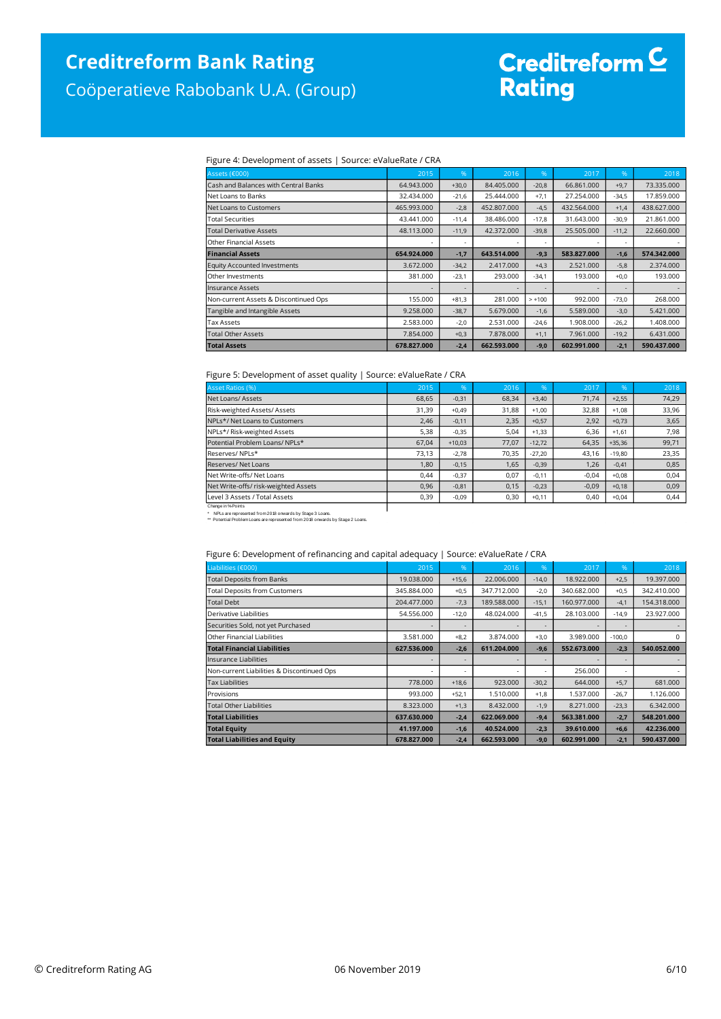Coöperatieve Rabobank U.A. (Group)

# Creditreform <mark>C</mark><br>Rating

### Figure 4: Development of assets | Source: eValueRate / CRA

| Assets (€000)                         | 2015        | %       | 2016        | %              | 2017        | %       | 2018        |
|---------------------------------------|-------------|---------|-------------|----------------|-------------|---------|-------------|
| Cash and Balances with Central Banks  | 64.943.000  | $+30,0$ | 84.405.000  | $-20,8$        | 66.861.000  | $+9,7$  | 73.335.000  |
| Net Loans to Banks                    | 32.434.000  | $-21,6$ | 25.444.000  | $+7,1$         | 27.254.000  | $-34,5$ | 17,859,000  |
| Net Loans to Customers                | 465.993.000 | $-2,8$  | 452.807.000 | $-4,5$         | 432.564.000 | $+1,4$  | 438,627,000 |
| Total Securities                      | 43.441.000  | $-11,4$ | 38.486.000  | $-17,8$        | 31.643.000  | $-30,9$ | 21.861.000  |
| <b>Total Derivative Assets</b>        | 48.113.000  | $-11,9$ | 42.372.000  | $-39,8$        | 25.505.000  | $-11,2$ | 22.660.000  |
| Other Financial Assets                |             | ۰       |             | $\overline{a}$ |             |         |             |
| <b>Financial Assets</b>               | 654.924.000 | $-1,7$  | 643.514.000 | $-9,3$         | 583.827.000 | $-1,6$  | 574.342.000 |
| <b>Equity Accounted Investments</b>   | 3.672.000   | $-34,2$ | 2.417.000   | $+4,3$         | 2.521.000   | $-5,8$  | 2.374.000   |
| Other Investments                     | 381.000     | $-23,1$ | 293.000     | $-34,1$        | 193,000     | $+0,0$  | 193.000     |
| <b>Insurance Assets</b>               |             |         |             |                |             |         |             |
| Non-current Assets & Discontinued Ops | 155,000     | $+81,3$ | 281.000     | $> +100$       | 992.000     | $-73,0$ | 268,000     |
| Tangible and Intangible Assets        | 9.258.000   | $-38,7$ | 5.679.000   | $-1,6$         | 5.589.000   | $-3,0$  | 5.421.000   |
| <b>Tax Assets</b>                     | 2.583.000   | $-2,0$  | 2.531.000   | $-24,6$        | 1.908.000   | $-26,2$ | 1.408.000   |
| <b>Total Other Assets</b>             | 7.854.000   | $+0,3$  | 7.878.000   | $+1,1$         | 7.961.000   | $-19,2$ | 6.431.000   |
| <b>Total Assets</b>                   | 678.827.000 | $-2,4$  | 662.593.000 | $-9,0$         | 602.991.000 | $-2,1$  | 590.437.000 |

### Figure 5: Development of asset quality | Source: eValueRate / CRA

| <b>Asset Ratios (%)</b>              | 2015  | 96'      | 2016  | .96      | 2017    | 96'      | 2018  |
|--------------------------------------|-------|----------|-------|----------|---------|----------|-------|
| Net Loans/ Assets                    | 68,65 | $-0,31$  | 68,34 | $+3,40$  | 71.74   | $+2,55$  | 74,29 |
| Risk-weighted Assets/ Assets         | 31,39 | $+0,49$  | 31,88 | $+1,00$  | 32,88   | $+1.08$  | 33,96 |
| NPLs*/ Net Loans to Customers        | 2,46  | $-0,11$  | 2,35  | $+0,57$  | 2,92    | $+0,73$  | 3,65  |
| NPLs*/ Risk-weighted Assets          | 5,38  | $-0,35$  | 5,04  | $+1,33$  | 6,36    | $+1.61$  | 7,98  |
| Potential Problem Loans/ NPLs*       | 67,04 | $+10,03$ | 77,07 | $-12,72$ | 64,35   | $+35,36$ | 99,71 |
| Reserves/NPLs*                       | 73,13 | $-2,78$  | 70,35 | $-27.20$ | 43,16   | $-19,80$ | 23,35 |
| Reserves/ Net Loans                  | 1,80  | $-0,15$  | 1,65  | $-0,39$  | 1,26    | $-0,41$  | 0,85  |
| Net Write-offs/Net Loans             | 0,44  | $-0,37$  | 0,07  | $-0.11$  | $-0,04$ | $+0.08$  | 0,04  |
| Net Write-offs/ risk-weighted Assets | 0,96  | $-0,81$  | 0,15  | $-0,23$  | $-0,09$ | $+0,18$  | 0,09  |
| Level 3 Assets / Total Assets        | 0,39  | $-0,09$  | 0,30  | $+0,11$  | 0,40    | $+0,04$  | 0,44  |
| Change in % Points                   |       |          |       |          |         |          |       |

Change in %-Points<br>\* NPLs are represented from 2018 onwards by Stage 3 Loans.<br>\*\* Potential Problem Loans are represented from 2018 onwards by Stage 2 Loans.

#### Figure 6: Development of refinancing and capital adequacy | Source: eValueRate / CRA

| Liabilities (€000)                         | 2015        | %       | 2016        | %       | 2017        | %        | 2018        |
|--------------------------------------------|-------------|---------|-------------|---------|-------------|----------|-------------|
| <b>Total Deposits from Banks</b>           | 19.038.000  | $+15,6$ | 22.006.000  | $-14,0$ | 18.922.000  | $+2,5$   | 19.397.000  |
| <b>Total Deposits from Customers</b>       | 345.884.000 | $+0,5$  | 347.712.000 | $-2,0$  | 340.682.000 | $+0,5$   | 342.410.000 |
| <b>Total Debt</b>                          | 204.477.000 | $-7,3$  | 189,588,000 | $-15,1$ | 160,977,000 | $-4,1$   | 154,318,000 |
| Derivative Liabilities                     | 54.556.000  | $-12,0$ | 48.024.000  | $-41,5$ | 28.103.000  | $-14,9$  | 23.927.000  |
| Securities Sold, not yet Purchased         |             |         |             |         |             |          |             |
| Other Financial Liabilities                | 3.581.000   | $+8,2$  | 3.874.000   | $+3,0$  | 3.989.000   | $-100.0$ | 0           |
| <b>Total Financial Liabilities</b>         | 627.536.000 | $-2,6$  | 611.204.000 | $-9,6$  | 552.673.000 | $-2,3$   | 540.052.000 |
| Insurance Liabilities                      |             | ٠       |             |         |             |          |             |
| Non-current Liabilities & Discontinued Ops |             |         |             |         | 256.000     |          |             |
| <b>Tax Liabilities</b>                     | 778,000     | $+18,6$ | 923,000     | $-30,2$ | 644,000     | $+5,7$   | 681,000     |
| Provisions                                 | 993.000     | $+52.1$ | 1.510.000   | $+1,8$  | 1.537.000   | $-26,7$  | 1.126.000   |
| <b>Total Other Liabilities</b>             | 8.323.000   | $+1,3$  | 8.432.000   | $-1,9$  | 8.271.000   | $-23,3$  | 6.342.000   |
| <b>Total Liabilities</b>                   | 637.630.000 | $-2,4$  | 622.069.000 | $-9,4$  | 563.381.000 | $-2,7$   | 548.201.000 |
| <b>Total Equity</b>                        | 41.197.000  | $-1,6$  | 40.524.000  | $-2,3$  | 39.610.000  | $+6,6$   | 42.236.000  |
| <b>Total Liabilities and Equity</b>        | 678.827.000 | $-2,4$  | 662.593.000 | $-9,0$  | 602.991.000 | $-2,1$   | 590.437.000 |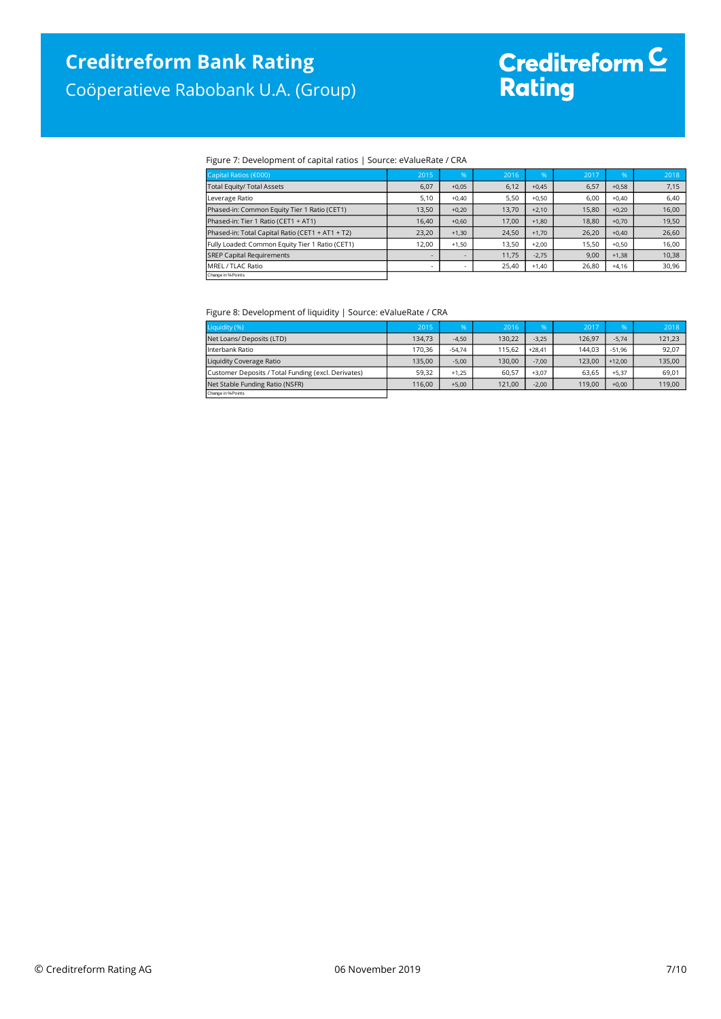## Coöperatieve Rabobank U.A. (Group)

# Creditreform <mark>C</mark><br>Rating

### Figure 7: Development of capital ratios | Source: eValueRate / CRA

| Capital Ratios (€000)                            | 2015  | %                        | 2016  | <b>%</b> | 2017  | %       | 2018  |
|--------------------------------------------------|-------|--------------------------|-------|----------|-------|---------|-------|
| <b>Total Equity/ Total Assets</b>                | 6,07  | $+0,05$                  | 6,12  | $+0,45$  | 6,57  | $+0,58$ | 7,15  |
| Leverage Ratio                                   | 5,10  | $+0.40$                  | 5,50  | $+0.50$  | 6.00  | $+0.40$ | 6,40  |
| Phased-in: Common Equity Tier 1 Ratio (CET1)     | 13,50 | $+0.20$                  | 13.70 | $+2,10$  | 15.80 | $+0.20$ | 16,00 |
| Phased-in: Tier 1 Ratio (CET1 + AT1)             | 16.40 | $+0.60$                  | 17.00 | $+1,80$  | 18.80 | $+0.70$ | 19,50 |
| Phased-in: Total Capital Ratio (CET1 + AT1 + T2) | 23,20 | $+1.30$                  | 24.50 | $+1.70$  | 26.20 | $+0.40$ | 26,60 |
| Fully Loaded: Common Equity Tier 1 Ratio (CET1)  | 12.00 | $+1.50$                  | 13.50 | $+2.00$  | 15.50 | $+0.50$ | 16,00 |
| <b>SREP Capital Requirements</b>                 |       | $\overline{\phantom{0}}$ | 11.75 | $-2.75$  | 9,00  | $+1.38$ | 10,38 |
| <b>IMREL/TLAC Ratio</b>                          | ٠     | ۰                        | 25,40 | $+1,40$  | 26,80 | $+4,16$ | 30,96 |
| Change in % Points                               |       |                          |       |          |       |         |       |

#### Figure 8: Development of liquidity | Source: eValueRate / CRA

| Liquidity (%)                                       | 2015   | %        | 2016   | 96'      | 2017   | 96.      | 2018   |
|-----------------------------------------------------|--------|----------|--------|----------|--------|----------|--------|
| Net Loans/ Deposits (LTD)                           | 134,73 | $-4,50$  | 130,22 | $-3.25$  | 126,97 | $-5,74$  | 121,23 |
| Interbank Ratio                                     | 170.36 | $-54.74$ | 115.62 | $+28.41$ | 144.03 | $-51.96$ | 92,07  |
| Liquidity Coverage Ratio                            | 135,00 | $-5.00$  | 130.00 | $-7.00$  | 123.00 | $+12.00$ | 135,00 |
| Customer Deposits / Total Funding (excl. Derivates) | 59.32  | $+1.25$  | 60.57  | $+3.07$  | 63.65  | $+5.37$  | 69,01  |
| Net Stable Funding Ratio (NSFR)                     | 116,00 | $+5,00$  | 121.00 | $-2,00$  | 119,00 | $+0,00$  | 119,00 |
| Change in %Points                                   |        |          |        |          |        |          |        |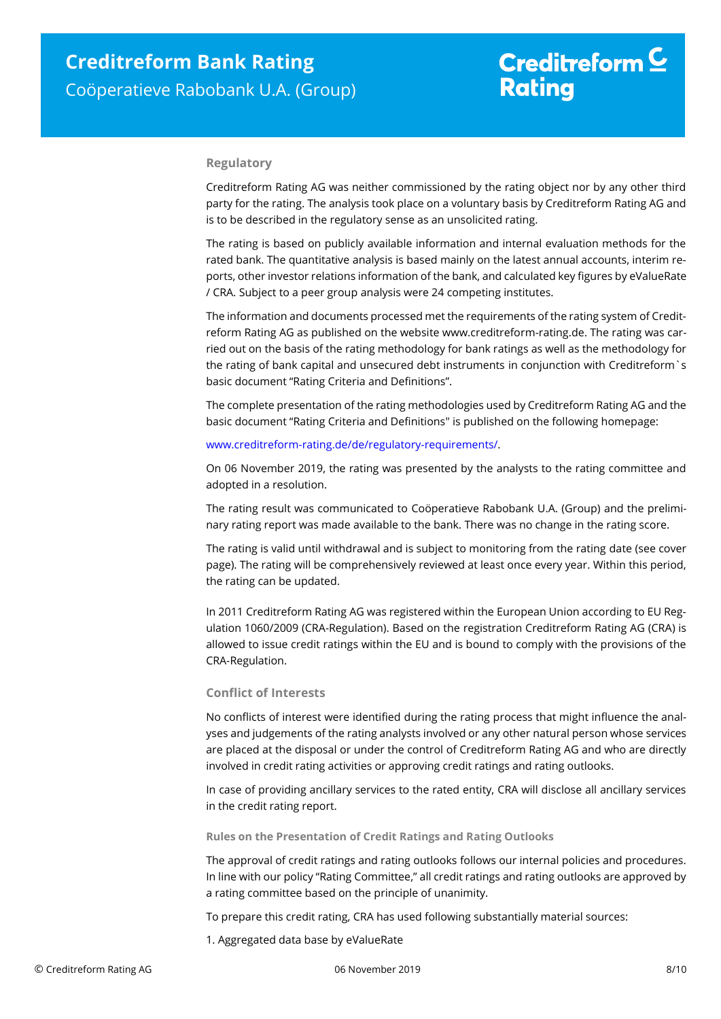# Creditreform  $\mathsf{\underline{\mathsf{C}}}$ **Rating**

### **Regulatory**

Creditreform Rating AG was neither commissioned by the rating object nor by any other third party for the rating. The analysis took place on a voluntary basis by Creditreform Rating AG and is to be described in the regulatory sense as an unsolicited rating.

The rating is based on publicly available information and internal evaluation methods for the rated bank. The quantitative analysis is based mainly on the latest annual accounts, interim reports, other investor relations information of the bank, and calculated key figures by eValueRate / CRA. Subject to a peer group analysis were 24 competing institutes.

The information and documents processed met the requirements of the rating system of Creditreform Rating AG as published on the website www.creditreform-rating.de. The rating was carried out on the basis of the rating methodology for bank ratings as well as the methodology for the rating of bank capital and unsecured debt instruments in conjunction with Creditreform`s basic document "Rating Criteria and Definitions".

The complete presentation of the rating methodologies used by Creditreform Rating AG and the basic document "Rating Criteria and Definitions" is published on the following homepage:

### [www.creditreform-rating.de/de/regulatory-requirements/.](http://www.creditreform-rating.de/de/regulatory-requirements/)

On 06 November 2019, the rating was presented by the analysts to the rating committee and adopted in a resolution.

The rating result was communicated to Coöperatieve Rabobank U.A. (Group) and the preliminary rating report was made available to the bank. There was no change in the rating score.

The rating is valid until withdrawal and is subject to monitoring from the rating date (see cover page). The rating will be comprehensively reviewed at least once every year. Within this period, the rating can be updated.

In 2011 Creditreform Rating AG was registered within the European Union according to EU Regulation 1060/2009 (CRA-Regulation). Based on the registration Creditreform Rating AG (CRA) is allowed to issue credit ratings within the EU and is bound to comply with the provisions of the CRA-Regulation.

### **Conflict of Interests**

No conflicts of interest were identified during the rating process that might influence the analyses and judgements of the rating analysts involved or any other natural person whose services are placed at the disposal or under the control of Creditreform Rating AG and who are directly involved in credit rating activities or approving credit ratings and rating outlooks.

In case of providing ancillary services to the rated entity, CRA will disclose all ancillary services in the credit rating report.

### **Rules on the Presentation of Credit Ratings and Rating Outlooks**

The approval of credit ratings and rating outlooks follows our internal policies and procedures. In line with our policy "Rating Committee," all credit ratings and rating outlooks are approved by a rating committee based on the principle of unanimity.

To prepare this credit rating, CRA has used following substantially material sources:

1. Aggregated data base by eValueRate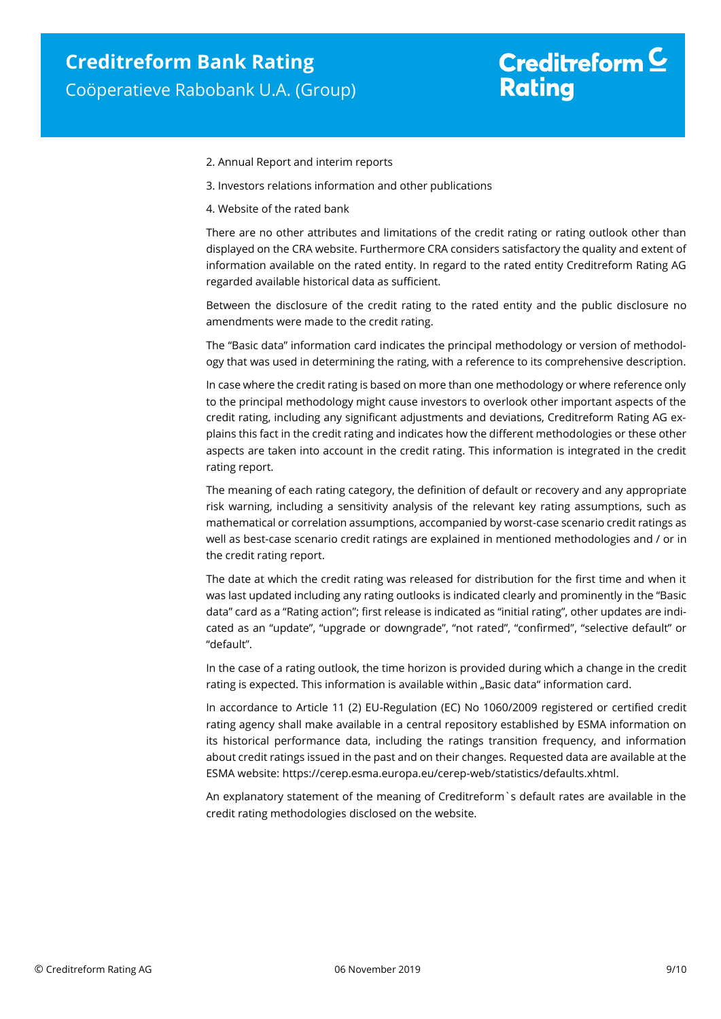# Creditreform  $\mathsf{\underline{\mathsf{C}}}$ **Rating**

- 2. Annual Report and interim reports
- 3. Investors relations information and other publications
- 4. Website of the rated bank

There are no other attributes and limitations of the credit rating or rating outlook other than displayed on the CRA website. Furthermore CRA considers satisfactory the quality and extent of information available on the rated entity. In regard to the rated entity Creditreform Rating AG regarded available historical data as sufficient.

Between the disclosure of the credit rating to the rated entity and the public disclosure no amendments were made to the credit rating.

The "Basic data" information card indicates the principal methodology or version of methodology that was used in determining the rating, with a reference to its comprehensive description.

In case where the credit rating is based on more than one methodology or where reference only to the principal methodology might cause investors to overlook other important aspects of the credit rating, including any significant adjustments and deviations, Creditreform Rating AG explains this fact in the credit rating and indicates how the different methodologies or these other aspects are taken into account in the credit rating. This information is integrated in the credit rating report.

The meaning of each rating category, the definition of default or recovery and any appropriate risk warning, including a sensitivity analysis of the relevant key rating assumptions, such as mathematical or correlation assumptions, accompanied by worst-case scenario credit ratings as well as best-case scenario credit ratings are explained in mentioned methodologies and / or in the credit rating report.

The date at which the credit rating was released for distribution for the first time and when it was last updated including any rating outlooks is indicated clearly and prominently in the "Basic data" card as a "Rating action"; first release is indicated as "initial rating", other updates are indicated as an "update", "upgrade or downgrade", "not rated", "confirmed", "selective default" or "default".

In the case of a rating outlook, the time horizon is provided during which a change in the credit rating is expected. This information is available within "Basic data" information card.

In accordance to Article 11 (2) EU-Regulation (EC) No 1060/2009 registered or certified credit rating agency shall make available in a central repository established by ESMA information on its historical performance data, including the ratings transition frequency, and information about credit ratings issued in the past and on their changes. Requested data are available at the ESMA website: https://cerep.esma.europa.eu/cerep-web/statistics/defaults.xhtml.

An explanatory statement of the meaning of Creditreform`s default rates are available in the credit rating methodologies disclosed on the website.